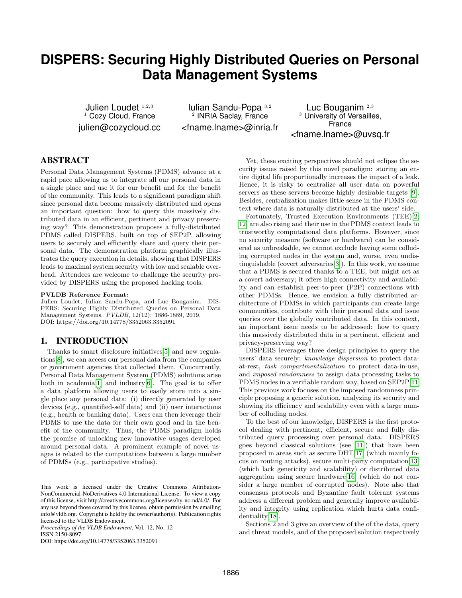# **DISPERS: Securing Highly Distributed Queries on Personal Data Management Systems**

Julien Loudet 1,2,3  $1$  Cozy Cloud, France julien@cozycloud.cc

Iulian Sandu-Popa <sup>3</sup>,<sup>2</sup> 2 INRIA Saclay, France <fname.lname>@inria.fr

Luc Bouganim <sup>2</sup>,<sup>3</sup> <sup>3</sup> University of Versailles, France <fname.lname>@uvsq.fr

## ABSTRACT

Personal Data Management Systems (PDMS) advance at a rapid pace allowing us to integrate all our personal data in a single place and use it for our benefit and for the benefit of the community. This leads to a significant paradigm shift since personal data become massively distributed and opens an important question: how to query this massively distributed data in an efficient, pertinent and privacy preserving way? This demonstration proposes a fully-distributed PDMS called DISPERS, built on top of SEP2P, allowing users to securely and efficiently share and query their personal data. The demonstration platform graphically illustrates the query execution in details, showing that DISPERS leads to maximal system security with low and scalable overhead. Attendees are welcome to challenge the security provided by DISPERS using the proposed hacking tools.

#### PVLDB Reference Format:

Julien Loudet, Iulian Sandu-Popa, and Luc Bouganim. DIS-PERS: Securing Highly Distributed Queries on Personal Data Management Systems. PVLDB, 12(12): 1886-1889, 2019. DOI: https://doi.org/10.14778/3352063.3352091

#### 1. INTRODUCTION

Thanks to smart disclosure initiatives[\[5\]](#page-3-0) and new regulations[\[8\]](#page-3-1), we can access our personal data from the companies or government agencies that collected them. Concurrently, Personal Data Management System (PDMS) solutions arise both in academia[\[1\]](#page-3-2) and industry[\[6\]](#page-3-3). The goal is to offer a data platform allowing users to easily store into a single place any personal data: (i) directly generated by user devices (e.g., quantified-self data) and (ii) user interactions (e.g., health or banking data). Users can then leverage their PDMS to use the data for their own good and in the benefit of the community. Thus, the PDMS paradigm holds the promise of unlocking new innovative usages developed around personal data. A prominent example of novel usages is related to the computations between a large number of PDMSs (e.g., participative studies).

*Proceedings of the VLDB Endowment,* Vol. 12, No. 12 ISSN 2150-8097.

DOI: https://doi.org/10.14778/3352063.3352091

Yet, these exciting perspectives should not eclipse the security issues raised by this novel paradigm: storing an entire digital life proportionally increases the impact of a leak. Hence, it is risky to centralize all user data on powerful servers as these servers become highly desirable targets [\[9\]](#page-3-4). Besides, centralization makes little sense in the PDMS context where data is naturally distributed at the users' side.

Fortunately, Trusted Execution Environments (TEE)[\[2,](#page-3-5) [12\]](#page-3-6) are also rising and their use in the PDMS context leads to trustworthy computational data platforms. However, since no security measure (software or hardware) can be considered as unbreakable, we cannot exclude having some colluding corrupted nodes in the system and, worse, even undistinguishable (covert adversaries[\[3\]](#page-3-7)). In this work, we assume that a PDMS is secured thanks to a TEE, but might act as a covert adversary; it offers high connectivity and availability and can establish peer-to-peer (P2P) connections with other PDMSs. Hence, we envision a fully distributed architecture of PDMSs in which participants can create large communities, contribute with their personal data and issue queries over the globally contributed data. In this context, an important issue needs to be addressed: how to query this massively distributed data in a pertinent, efficient and privacy-preserving way?

DISPERS leverages three design principles to query the users' data securely: knowledge dispersion to protect dataat-rest, task compartmentalization to protect data-in-use, and imposed randomness to assign data processing tasks to PDMS nodes in a verifiable random way, based on SEP2P[\[11\]](#page-3-8). This previous work focuses on the imposed randomness principle proposing a generic solution, analyzing its security and showing its efficiency and scalability even with a large number of colluding nodes.

To the best of our knowledge, DISPERS is the first protocol dealing with pertinent, efficient, secure and fully distributed query processing over personal data. DISPERS goes beyond classical solutions (see [\[11\]](#page-3-8)) that have been proposed in areas such as secure DHT[\[17\]](#page-3-9) (which mainly focus on routing attacks), secure multi-party computation[\[13\]](#page-3-10) (which lack genericity and scalability) or distributed data aggregation using secure hardware[\[16\]](#page-3-11) (which do not consider a large number of corrupted nodes). Note also that consensus protocols and Byzantine fault tolerant systems address a different problem and generally improve availability and integrity using replication which hurts data confidentiality[\[18\]](#page-3-12).

Sections 2 and 3 give an overview of the of the data, query and threat models, and of the proposed solution respectively

This work is licensed under the Creative Commons Attribution-NonCommercial-NoDerivatives 4.0 International License. To view a copy of this license, visit http://creativecommons.org/licenses/by-nc-nd/4.0/. For any use beyond those covered by this license, obtain permission by emailing info@vldb.org. Copyright is held by the owner/author(s). Publication rights licensed to the VLDB Endowment.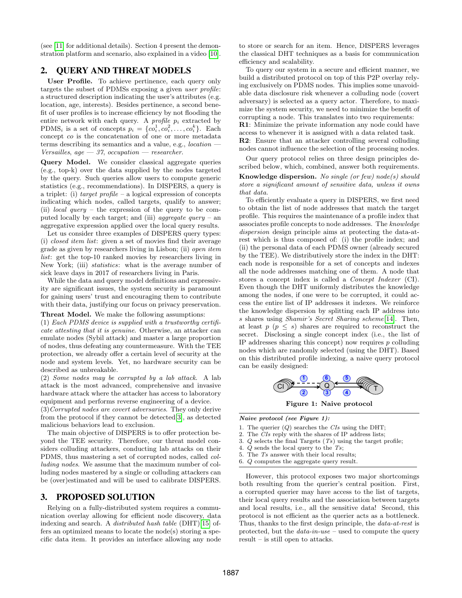(see [\[11\]](#page-3-8) for additional details). Section 4 present the demonstration platform and scenario, also explained in a video [\[10\]](#page-3-13).

## 2. QUERY AND THREAT MODELS

User Profile. To achieve pertinence, each query only targets the subset of PDMSs exposing a given user profile: a structured description indicating the user's attributes (e.g. location, age, interests). Besides pertinence, a second benefit of user profiles is to increase efficiency by not flooding the entire network with each query. A *profile*  $p_i$  extracted by PDMS<sub>i</sub> is a set of concepts  $p_i = \{co_i^1, co_i^2, \ldots, co_i^k\}$ . Each concept co is the concatenation of one or more metadata terms describing its semantics and a value, e.g., location — Versailles, age  $-37$ , occupation  $-$  researcher.

Query Model. We consider classical aggregate queries (e.g., top-k) over the data supplied by the nodes targeted by the query. Such queries allow users to compute generic statistics (e.g., recommendations). In DISPERS, a query is a triplet: (i) target profile – a logical expression of concepts indicating which nodes, called targets, qualify to answer; (ii) *local query* – the expression of the query to be computed locally by each target; and (iii) *aggregate query –* an aggregative expression applied over the local query results.

Let us consider three examples of DISPERS query types: (i) closed item list: given a set of movies find their average grade as given by researchers living in Lisbon; (ii) open item list: get the top-10 ranked movies by researchers living in New York; (iii) statistics: what is the average number of sick leave days in 2017 of researchers living in Paris.

While the data and query model definitions and expressivity are significant issues, the system security is paramount for gaining users' trust and encouraging them to contribute with their data, justifying our focus on privacy preservation.

Threat Model. We make the following assumptions:

(1) Each PDMS device is supplied with a trustworthy certificate attesting that it is genuine. Otherwise, an attacker can emulate nodes (Sybil attack) and master a large proportion of nodes, thus defeating any countermeasure. With the TEE protection, we already offer a certain level of security at the node and system levels. Yet, no hardware security can be described as unbreakable.

(2) Some nodes may be corrupted by a lab attack. A lab attack is the most advanced, comprehensive and invasive hardware attack where the attacker has access to laboratory equipment and performs reverse engineering of a device.

(3)Corrupted nodes are covert adversaries. They only derive from the protocol if they cannot be detected[\[3\]](#page-3-7), as detected malicious behaviors lead to exclusion.

The main objective of DISPERS is to offer protection beyond the TEE security. Therefore, our threat model considers colluding attackers, conducting lab attacks on their PDMS, thus mastering a set of corrupted nodes, called colluding nodes. We assume that the maximum number of colluding nodes mastered by a single or colluding attackers can be (over)estimated and will be used to calibrate DISPERS.

## 3. PROPOSED SOLUTION

Relying on a fully-distributed system requires a communication overlay allowing for efficient node discovery, data indexing and search. A distributed hash table (DHT)[\[15\]](#page-3-14) offers an optimized means to locate the node(s) storing a specific data item. It provides an interface allowing any node to store or search for an item. Hence, DISPERS leverages the classical DHT techniques as a basis for communication efficiency and scalability.

To query our system in a secure and efficient manner, we build a distributed protocol on top of this P2P overlay relying exclusively on PDMS nodes. This implies some unavoidable data disclosure risk whenever a colluding node (covert adversary) is selected as a query actor. Therefore, to maximize the system security, we need to minimize the benefit of corrupting a node. This translates into two requirements: R1: Minimize the private information any node could have access to whenever it is assigned with a data related task. R2: Ensure that an attacker controlling several colluding nodes cannot influence the selection of the processing nodes.

Our query protocol relies on three design principles described below, which, combined, answer both requirements.

**Knowledge dispersion.** No single (or few) node(s) should store a significant amount of sensitive data, unless it owns that data.

To efficiently evaluate a query in DISPERS, we first need to obtain the list of node addresses that match the target profile. This requires the maintenance of a profile index that associates profile concepts to node addresses. The knowledge dispersion design principle aims at protecting the data-atrest which is thus composed of: (i) the profile index; and (ii) the personal data of each PDMS owner (already secured by the TEE). We distributively store the index in the DHT: each node is responsible for a set of concepts and indexes all the node addresses matching one of them. A node that stores a concept index is called a Concept Indexer (CI). Even though the DHT uniformly distributes the knowledge among the nodes, if one were to be corrupted, it could access the entire list of IP addresses it indexes. We reinforce the knowledge dispersion by splitting each IP address into s shares using Shamir's Secret Sharing scheme[\[14\]](#page-3-15). Then, at least  $p \ (p \leq s)$  shares are required to reconstruct the secret. Disclosing a single concept index (i.e., the list of IP addresses sharing this concept) now requires  $p$  colluding nodes which are randomly selected (using the DHT). Based on this distributed profile indexing, a naive query protocol can be easily designed:



Figure 1: Naive protocol

Naive protocol (see Figure 1):

- 1. The querier  $(Q)$  searches the *CIs* using the DHT;
- 2. The CIs reply with the shares of IP address lists;
- 3.  $Q$  selects the final Targets  $(Ts)$  using the target profile;
- 4. Q sends the local query to the Ts;
- 5. The Ts answer with their local results;

6. Q computes the aggregate query result.

However, this protocol exposes two major shortcomings both resulting from the querier's central position. First, a corrupted querier may have access to the list of targets, their local query results and the association between targets and local results, i.e., all the sensitive data! Second, this protocol is not efficient as the querier acts as a bottleneck. Thus, thanks to the first design principle, the data-at-rest is protected, but the  $data\text{-}in\text{-}use$  – used to compute the query result – is still open to attacks.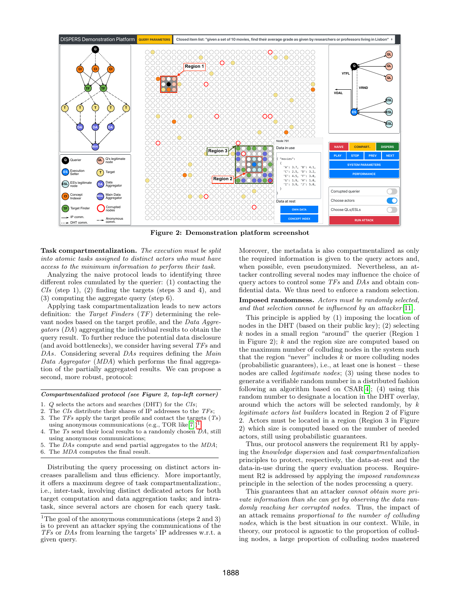

Figure 2: Demonstration platform screenshot

Task compartmentalization. The execution must be split into atomic tasks assigned to distinct actors who must have access to the minimum information to perform their task.

Analyzing the naive protocol leads to identifying three different roles cumulated by the querier: (1) contacting the  $CIs$  (step 1), (2) finding the targets (steps 3 and 4), and (3) computing the aggregate query (step 6).

Applying task compartmentalization leads to new actors definition: the Target Finders (TF) determining the relevant nodes based on the target profile, and the Data Aggregators (DA) aggregating the individual results to obtain the (and avoid bottlenecks), we consider having several TFs and DAs. Considering several DAs requires defining the Main Data Aggregator (MDA) which performs the final aggregation of the partially aggregated results. We can propose a second, more robust, protocol:

Compartmentalized protocol (see Figure 2, top-left corner)

- 1. Q selects the actors and searches (DHT) for the CIs;
- 2. The CIs distribute their shares of IP addresses to the TFs;
- 3. The  $TFs$  apply the target profile and contact the targets  $(Ts)$
- using anonymous communications (e.g., TOR like[\[7\]](#page-3-16))<sup>[1](#page-2-0)</sup> ; 4. The Ts send their local results to a randomly chosen DA, still
- using anonymous communications; 5. The DAs compute and send partial aggregates to the MDA;
- 6. The MDA computes the final result.

Distributing the query processing on distinct actors increases parallelism and thus efficiency. More importantly, it offers a maximum degree of task compartmentalization:, i.e., inter-task, involving distinct dedicated actors for both target computation and data aggregation tasks; and intratask, since several actors are chosen for each query task. Moreover, the metadata is also compartmentalized as only the required information is given to the query actors and, when possible, even pseudonymized. Nevertheless, an attacker controlling several nodes may influence the choice of query actors to control some TFs and DAs and obtain confidential data. We thus need to enforce a random selection. Imposed randomness. Actors must be randomly selected, and that selection cannot be influenced by an attacker [\[11\]](#page-3-8).

query result. To further reduce the potential data disclosure  $\frac{1}{2}$  in Figure 2), hand the point of the potential on This principle is applied by (1) imposing the location of nodes in the DHT (based on their public key); (2) selecting  $k$  nodes in a small region "around" the querier (Region 1 in Figure 2);  $k$  and the region size are computed based on the maximum number of colluding nodes in the system such that the region "never" includes  $k$  or more colluding nodes (probabilistic guarantees), i.e., at least one is honest – these nodes are called legitimate nodes; (3) using these nodes to generate a verifiable random number in a distributed fashion following an algorithm based on CSAR[\[4\]](#page-3-17); (4) using this random number to designate a location in the DHT overlay, around which the actors will be selected randomly, by k legitimate actors list builders located in Region 2 of Figure 2. Actors must be located in a region (Region 3 in Figure 2) which size is computed based on the number of needed actors, still using probabilistic guarantees.

Thus, our protocol answers the requirement R1 by applying the knowledge dispersion and task compartmentalization principles to protect, respectively, the data-at-rest and the data-in-use during the query evaluation process. Requirement R2 is addressed by applying the *imposed randomness* principle in the selection of the nodes processing a query.

This guarantees that an attacker cannot obtain more private information than she can get by observing the data randomly reaching her corrupted nodes. Thus, the impact of an attack remains proportional to the number of colluding nodes, which is the best situation in our context. While, in theory, our protocol is agnostic to the proportion of colluding nodes, a large proportion of colluding nodes mastered

<span id="page-2-0"></span><sup>&</sup>lt;sup>1</sup>The goal of the anonymous communications (steps 2 and 3) is to prevent an attacker spying the communications of the TFs or DAs from learning the targets' IP addresses w.r.t. a given query.